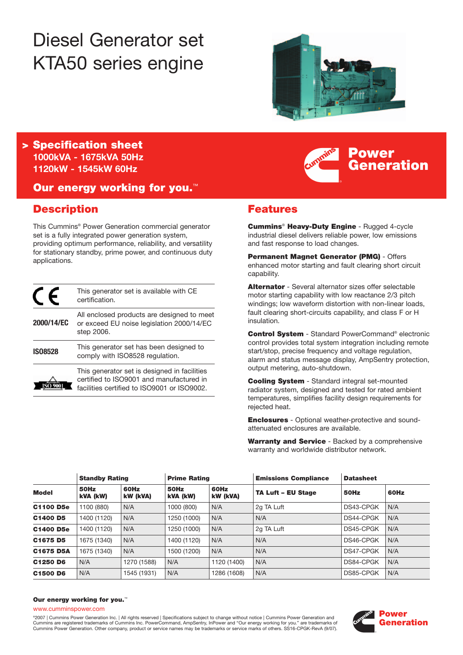# Diesel Generator set KTA50 series engine



**Power**

**Generation**

# **> Specification sheet 1000kVA - 1675kVA 50Hz 1120kW - 1545kW 60Hz**

**Our energy working for you.**™

# **Description**

This Cummins® Power Generation commercial generator set is a fully integrated power generation system. providing optimum performance, reliability, and versatility for stationary standby, prime power, and continuous duty applications.

|                | This generator set is available with CE<br>certification.                                                                               |
|----------------|-----------------------------------------------------------------------------------------------------------------------------------------|
| 2000/14/EC     | All enclosed products are designed to meet<br>or exceed EU noise legislation 2000/14/EC<br>step 2006.                                   |
| <b>ISO8528</b> | This generator set has been designed to<br>comply with ISO8528 regulation.                                                              |
|                | This generator set is designed in facilities<br>certified to ISO9001 and manufactured in<br>facilities certified to ISO9001 or ISO9002. |

# **Features**

**Cummins**® **Heavy-Duty Engine** - Rugged 4-cycle industrial diesel delivers reliable power, low emissions and fast response to load changes.

**Permanent Magnet Generator (PMG)** - Offers enhanced motor starting and fault clearing short circuit capability.

**Alternator** - Several alternator sizes offer selectable motor starting capability with low reactance 2/3 pitch windings; low waveform distortion with non-linear loads, fault clearing short-circuits capability, and class F or H insulation.

**Control System** - Standard PowerCommand® electronic control provides total system integration including remote start/stop, precise frequency and voltage regulation, alarm and status message display, AmpSentry protection, output metering, auto-shutdown.

**Cooling System** - Standard integral set-mounted radiator system, designed and tested for rated ambient temperatures, simplifies facility design requirements for rejected heat.

**Enclosures** - Optional weather-protective and soundattenuated enclosures are available.

**Warranty and Service** - Backed by a comprehensive warranty and worldwide distributor network.

|                  | <b>Standby Rating</b> |                  | <b>Prime Rating</b> |                  | <b>Emissions Compliance</b> | <b>Datasheet</b> |      |
|------------------|-----------------------|------------------|---------------------|------------------|-----------------------------|------------------|------|
| <b>Model</b>     | 50Hz<br>kVA (kW)      | 60Hz<br>kW (kVA) | 50Hz<br>kVA (kW)    | 60Hz<br>kW (kVA) | <b>TA Luft - EU Stage</b>   | 50Hz             | 60Hz |
| <b>C1100 D5e</b> | 1100 (880)            | N/A              | 1000 (800)          | N/A              | 2g TA Luft                  | DS43-CPGK        | N/A  |
| C1400 D5         | 1400 (1120)           | N/A              | 1250 (1000)         | N/A              | N/A                         | DS44-CPGK        | N/A  |
| C1400 D5e        | 1400 (1120)           | N/A              | 1250 (1000)         | N/A              | 2g TA Luft                  | DS45-CPGK        | N/A  |
| C1675 D5         | 1675 (1340)           | N/A              | 1400 (1120)         | N/A              | N/A                         | DS46-CPGK        | N/A  |
| C1675 D5A        | 1675 (1340)           | N/A              | 1500 (1200)         | N/A              | N/A                         | DS47-CPGK        | N/A  |
| C1250 D6         | N/A                   | 1270 (1588)      | N/A                 | 1120 (1400)      | N/A                         | DS84-CPGK        | N/A  |
| C1500 D6         | N/A                   | 1545 (1931)      | N/A                 | 1286 (1608)      | N/A                         | DS85-CPGK        | N/A  |

#### **Our energy working for you.**™

www.cumminspower.com

©2007 | Cummins Power Generation Inc. | All rights reserved | Specifications subject to change without notice | Cummins Power Generation and Cummins are registered trademarks of Cummins Inc. PowerCommand, AmpSentry, InPower and "Our energy working for you." are trademarks of Cummins Power Generation. Other company, product or service names may be trademarks or service marks of others. SS16-CPGK-RevA (9/07).

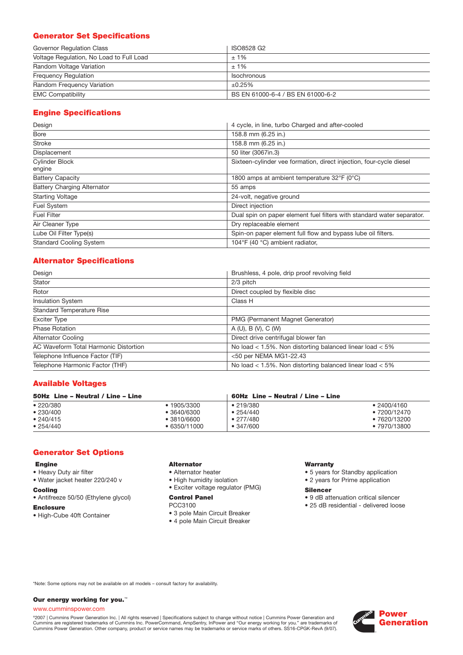## **Generator Set Specifications**

| Governor Regulation Class                | ISO8528 G2                        |
|------------------------------------------|-----------------------------------|
| Voltage Regulation, No Load to Full Load | $±1\%$                            |
| Random Voltage Variation                 | $±1\%$                            |
| <b>Frequency Requiation</b>              | Isochronous                       |
| Random Frequency Variation               | ±0.25%                            |
| <b>EMC Compatibility</b>                 | BS EN 61000-6-4 / BS EN 61000-6-2 |

# **Engine Specifications**

| Design                             | 4 cycle, in line, turbo Charged and after-cooled                       |  |
|------------------------------------|------------------------------------------------------------------------|--|
| Bore                               | 158.8 mm (6.25 in.)                                                    |  |
| <b>Stroke</b>                      | 158.8 mm (6.25 in.)                                                    |  |
| Displacement                       | 50 liter (3067in.3)                                                    |  |
| <b>Cylinder Block</b><br>engine    | Sixteen-cylinder vee formation, direct injection, four-cycle diesel    |  |
| <b>Battery Capacity</b>            | 1800 amps at ambient temperature 32°F (0°C)                            |  |
| <b>Battery Charging Alternator</b> | 55 amps                                                                |  |
| <b>Starting Voltage</b>            | 24-volt, negative ground                                               |  |
| Fuel System                        | Direct injection                                                       |  |
| <b>Fuel Filter</b>                 | Dual spin on paper element fuel filters with standard water separator. |  |
| Air Cleaner Type                   | Dry replaceable element                                                |  |
| Lube Oil Filter Type(s)            | Spin-on paper element full flow and bypass lube oil filters.           |  |
| <b>Standard Cooling System</b>     | 104°F (40 °C) ambient radiator,                                        |  |

# **Alternator Specifications**

| Design                                | Brushless, 4 pole, drip proof revolving field                |  |
|---------------------------------------|--------------------------------------------------------------|--|
| Stator                                | 2/3 pitch                                                    |  |
| Rotor                                 | Direct coupled by flexible disc                              |  |
| <b>Insulation System</b>              | Class H                                                      |  |
| <b>Standard Temperature Rise</b>      |                                                              |  |
| <b>Exciter Type</b>                   | PMG (Permanent Magnet Generator)                             |  |
| <b>Phase Rotation</b>                 | A (U), B (V), C (W)                                          |  |
| <b>Alternator Cooling</b>             | Direct drive centrifugal blower fan                          |  |
| AC Waveform Total Harmonic Distortion | No load $<$ 1.5%. Non distorting balanced linear load $<$ 5% |  |
| Telephone Influence Factor (TIF)      | <50 per NEMA MG1-22.43                                       |  |
| Telephone Harmonic Factor (THF)       | No load $<$ 1.5%. Non distorting balanced linear load $<$ 5% |  |

# **Available Voltages**

| 50Hz Line - Neutral / Line - Line |                      | 60Hz Line - Neutral / Line - Line |                      |  |
|-----------------------------------|----------------------|-----------------------------------|----------------------|--|
| •220/380                          | 1905/3300            | •219/380                          | • 2400/4160          |  |
| •230/400                          | $\bullet$ 3640/6300  | •254/440                          | $\bullet$ 7200/12470 |  |
| • 240/415                         | $\bullet$ 3810/6600  | • 277/480                         | $\bullet$ 7620/13200 |  |
| • 254/440                         | $\bullet$ 6350/11000 | $\bullet$ 347/600                 | • 7970/13800         |  |

## **Generator Set Options**

#### **Engine**

- Heavy Duty air filter
- Water jacket heater 220/240 v

## **Cooling**

- Antifreeze 50/50 (Ethylene glycol)
- **Enclosure**
- High-Cube 40ft Container

#### **Alternator**

- Alternator heater
- High humidity isolation
- Exciter voltage regulator (PMG)

#### **Control Panel**

#### PCC3100

- 3 pole Main Circuit Breaker
- 4 pole Main Circuit Breaker

#### **Warranty**

- 5 years for Standby application
- 2 years for Prime application

#### **Silencer**

- 9 dB attenuation critical silencer
- 25 dB residential delivered loose

\*Note: Some options may not be available on all models – consult factory for availability.

#### **Our energy working for you.**™

#### www.cumminspower.com

°2007 | Cummins Power Generation Inc. | All rights reserved | Specifications subject to change without notice | Cummins Power Generation and<br>Cummins are registered trademarks of Cummins Inc. PowerCommand, AmpSentry, InPow

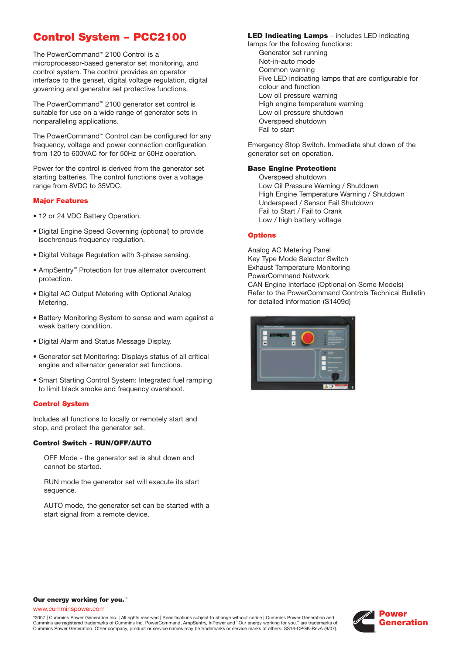# **Control System – PCC2100**

The PowerCommand™ 2100 Control is a microprocessor-based generator set monitoring, and control system. The control provides an operator interface to the genset, digital voltage regulation, digital governing and generator set protective functions.

The PowerCommand™ 2100 generator set control is suitable for use on a wide range of generator sets in nonparalleling applications.

The PowerCommand™ Control can be configured for any frequency, voltage and power connection configuration from 120 to 600VAC for for 50Hz or 60Hz operation.

Power for the control is derived from the generator set starting batteries. The control functions over a voltage range from 8VDC to 35VDC.

#### **Major Features**

- 12 or 24 VDC Battery Operation.
- Digital Engine Speed Governing (optional) to provide isochronous frequency regulation.
- Digital Voltage Regulation with 3-phase sensing.
- AmpSentry™ Protection for true alternator overcurrent protection.
- Digital AC Output Metering with Optional Analog Metering.
- Battery Monitoring System to sense and warn against a weak battery condition.
- Digital Alarm and Status Message Display.
- Generator set Monitoring: Displays status of all critical engine and alternator generator set functions.
- Smart Starting Control System: Integrated fuel ramping to limit black smoke and frequency overshoot.

#### **Control System**

Includes all functions to locally or remotely start and stop, and protect the generator set.

#### **Control Switch - RUN/OFF/AUTO**

OFF Mode - the generator set is shut down and cannot be started.

RUN mode the generator set will execute its start sequence.

AUTO mode, the generator set can be started with a start signal from a remote device.

## **LED Indicating Lamps** – includes LED indicating

lamps for the following functions: Generator set running Not-in-auto mode Common warning Five LED indicating lamps that are configurable for colour and function Low oil pressure warning High engine temperature warning Low oil pressure shutdown Overspeed shutdown Fail to start

Emergency Stop Switch. Immediate shut down of the generator set on operation.

#### **Base Engine Protection:**

Overspeed shutdown Low Oil Pressure Warning / Shutdown High Engine Temperature Warning / Shutdown Underspeed / Sensor Fail Shutdown Fail to Start / Fail to Crank Low / high battery voltage

#### **Options**

Analog AC Metering Panel Key Type Mode Selector Switch Exhaust Temperature Monitoring PowerCommand Network CAN Engine Interface (Optional on Some Models) Refer to the PowerCommand Controls Technical Bulletin for detailed information (S1409d)



#### **Our energy working for you.**™

www.cumminspower.com

©2007 | Cummins Power Generation Inc. | All rights reserved | Specifications subject to change without notice | Cummins Power Generation and Cummins are registered trademarks of Cummins Inc. PowerCommand, AmpSentry, InPower and "Our energy working for you." are trademarks of Cummins Power Generation. Other company, product or service names may be trademarks or service marks of others. SS16-CPGK-RevA (9/07).